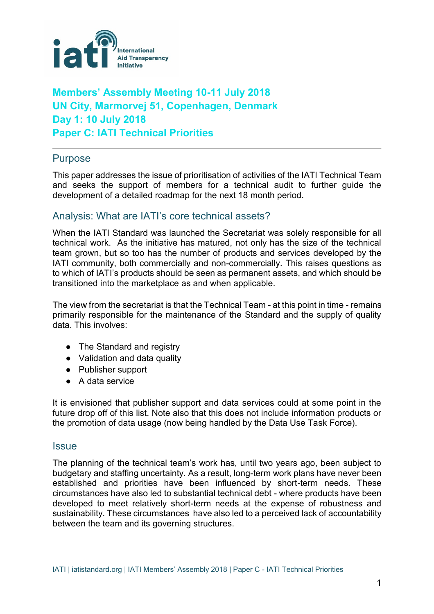

# **Members' Assembly Meeting 10-11 July 2018 UN City, Marmorvej 51, Copenhagen, Denmark Day 1: 10 July 2018 Paper C: IATI Technical Priorities**

## Purpose

This paper addresses the issue of prioritisation of activities of the IATI Technical Team and seeks the support of members for a technical audit to further guide the development of a detailed roadmap for the next 18 month period.

## Analysis: What are IATI's core technical assets?

When the IATI Standard was launched the Secretariat was solely responsible for all technical work. As the initiative has matured, not only has the size of the technical team grown, but so too has the number of products and services developed by the IATI community, both commercially and non-commercially. This raises questions as to which of IATI's products should be seen as permanent assets, and which should be transitioned into the marketplace as and when applicable.

The view from the secretariat is that the Technical Team - at this point in time - remains primarily responsible for the maintenance of the Standard and the supply of quality data. This involves:

- The Standard and registry
- Validation and data quality
- Publisher support
- A data service

It is envisioned that publisher support and data services could at some point in the future drop off of this list. Note also that this does not include information products or the promotion of data usage (now being handled by the Data Use Task Force).

#### **Issue**

The planning of the technical team's work has, until two years ago, been subject to budgetary and staffing uncertainty. As a result, long-term work plans have never been established and priorities have been influenced by short-term needs. These circumstances have also led to substantial technical debt - where products have been developed to meet relatively short-term needs at the expense of robustness and sustainability. These circumstances have also led to a perceived lack of accountability between the team and its governing structures.